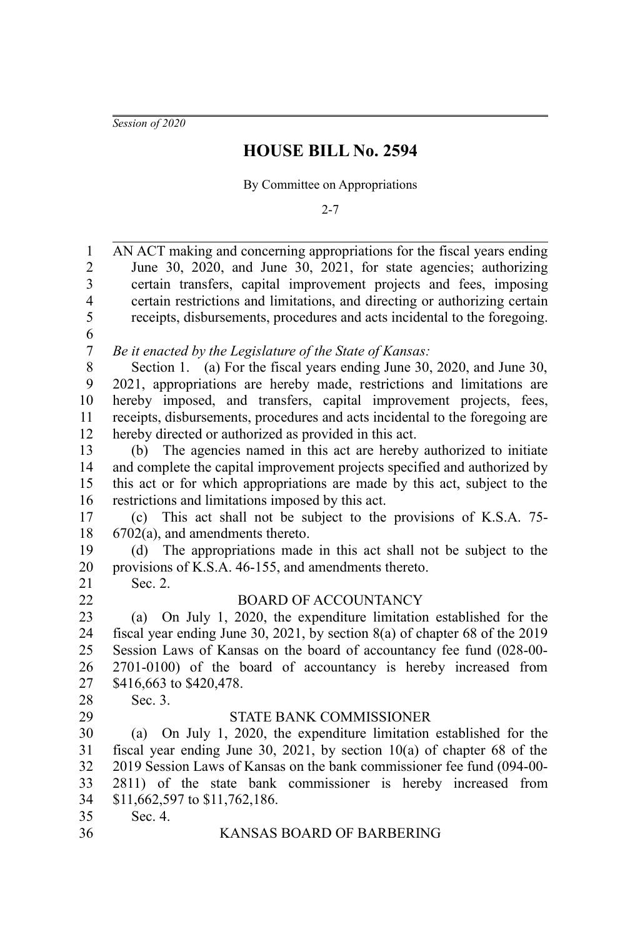*Session of 2020*

# **HOUSE BILL No. 2594**

By Committee on Appropriations

2-7

| AN ACT making and concerning appropriations for the fiscal years ending       |
|-------------------------------------------------------------------------------|
| June 30, 2020, and June 30, 2021, for state agencies; authorizing             |
| certain transfers, capital improvement projects and fees, imposing            |
| certain restrictions and limitations, and directing or authorizing certain    |
| receipts, disbursements, procedures and acts incidental to the foregoing.     |
|                                                                               |
| Be it enacted by the Legislature of the State of Kansas:                      |
| Section 1. (a) For the fiscal years ending June 30, 2020, and June 30,        |
| 2021, appropriations are hereby made, restrictions and limitations are        |
| hereby imposed, and transfers, capital improvement projects, fees,            |
| receipts, disbursements, procedures and acts incidental to the foregoing are  |
| hereby directed or authorized as provided in this act.                        |
| (b) The agencies named in this act are hereby authorized to initiate          |
| and complete the capital improvement projects specified and authorized by     |
| this act or for which appropriations are made by this act, subject to the     |
| restrictions and limitations imposed by this act.                             |
| This act shall not be subject to the provisions of K.S.A. 75-<br>(c)          |
| $6702(a)$ , and amendments thereto.                                           |
| (d) The appropriations made in this act shall not be subject to the           |
| provisions of K.S.A. 46-155, and amendments thereto.                          |
| Sec. 2.                                                                       |
| <b>BOARD OF ACCOUNTANCY</b>                                                   |
| On July 1, 2020, the expenditure limitation established for the<br>(a)        |
| fiscal year ending June 30, 2021, by section $8(a)$ of chapter 68 of the 2019 |
| Session Laws of Kansas on the board of accountancy fee fund (028-00-          |
| 2701-0100) of the board of accountancy is hereby increased from               |
| \$416,663 to \$420,478.                                                       |
| Sec. 3.                                                                       |
| STATE BANK COMMISSIONER                                                       |
| (a) On July 1, 2020, the expenditure limitation established for the           |
| fiscal year ending June 30, 2021, by section $10(a)$ of chapter 68 of the     |
| 2019 Session Laws of Kansas on the bank commissioner fee fund (094-00-        |
| 2811) of the state bank commissioner is hereby increased from                 |
| \$11,662,597 to \$11,762,186.                                                 |
| Sec. 4.                                                                       |
| KANSAS BOARD OF BARBERING                                                     |
|                                                                               |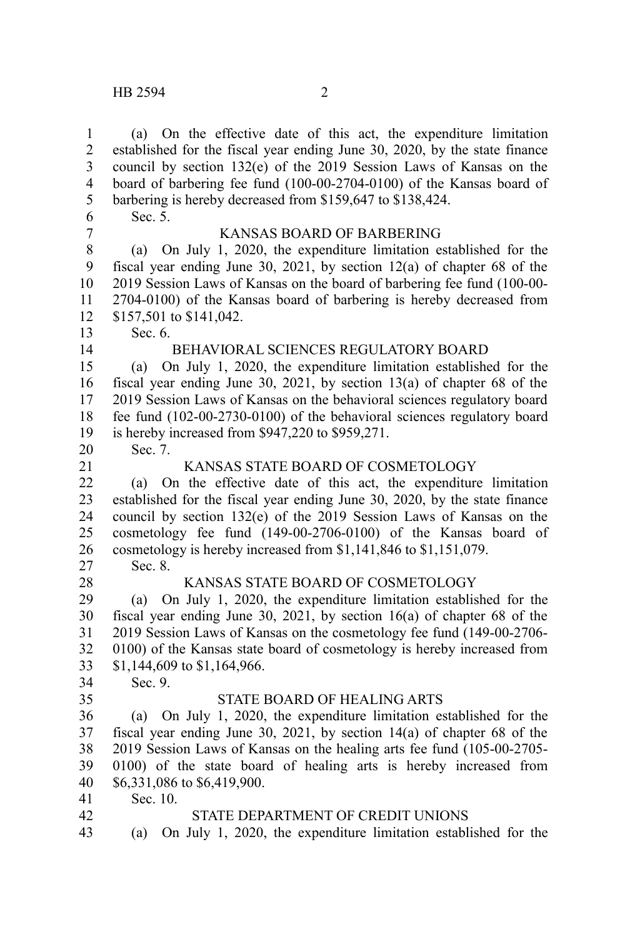(a) On the effective date of this act, the expenditure limitation established for the fiscal year ending June 30, 2020, by the state finance council by section 132(e) of the 2019 Session Laws of Kansas on the board of barbering fee fund (100-00-2704-0100) of the Kansas board of barbering is hereby decreased from \$159,647 to \$138,424. Sec. 5. KANSAS BOARD OF BARBERING (a) On July 1, 2020, the expenditure limitation established for the fiscal year ending June 30, 2021, by section 12(a) of chapter 68 of the 2019 Session Laws of Kansas on the board of barbering fee fund (100-00- 2704-0100) of the Kansas board of barbering is hereby decreased from \$157,501 to \$141,042. Sec. 6. BEHAVIORAL SCIENCES REGULATORY BOARD (a) On July 1, 2020, the expenditure limitation established for the fiscal year ending June 30, 2021, by section 13(a) of chapter 68 of the 2019 Session Laws of Kansas on the behavioral sciences regulatory board fee fund (102-00-2730-0100) of the behavioral sciences regulatory board is hereby increased from \$947,220 to \$959,271. Sec. 7. KANSAS STATE BOARD OF COSMETOLOGY (a) On the effective date of this act, the expenditure limitation established for the fiscal year ending June 30, 2020, by the state finance council by section 132(e) of the 2019 Session Laws of Kansas on the cosmetology fee fund (149-00-2706-0100) of the Kansas board of cosmetology is hereby increased from \$1,141,846 to \$1,151,079. Sec. 8. KANSAS STATE BOARD OF COSMETOLOGY (a) On July 1, 2020, the expenditure limitation established for the fiscal year ending June 30, 2021, by section 16(a) of chapter 68 of the 2019 Session Laws of Kansas on the cosmetology fee fund (149-00-2706- 0100) of the Kansas state board of cosmetology is hereby increased from \$1,144,609 to \$1,164,966. Sec. 9. STATE BOARD OF HEALING ARTS (a) On July 1, 2020, the expenditure limitation established for the fiscal year ending June 30, 2021, by section 14(a) of chapter 68 of the 2019 Session Laws of Kansas on the healing arts fee fund (105-00-2705- 0100) of the state board of healing arts is hereby increased from \$6,331,086 to \$6,419,900. Sec. 10. STATE DEPARTMENT OF CREDIT UNIONS (a) On July 1, 2020, the expenditure limitation established for the 1 2 3 4 5 6 7 8 9 10 11 12 13 14 15 16 17 18 19 20 21 22 23 24 25 26 27 28 29 30 31 32 33 34 35 36 37 38 39 40 41 42 43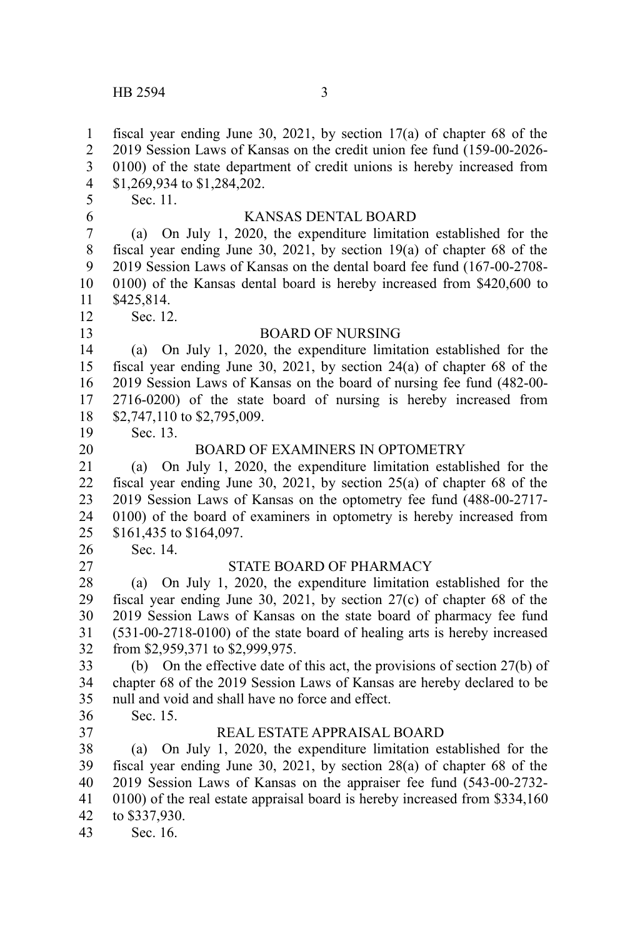fiscal year ending June 30, 2021, by section 17(a) of chapter 68 of the 2019 Session Laws of Kansas on the credit union fee fund (159-00-2026- 0100) of the state department of credit unions is hereby increased from \$1,269,934 to \$1,284,202. Sec. 11. KANSAS DENTAL BOARD (a) On July 1, 2020, the expenditure limitation established for the fiscal year ending June 30, 2021, by section 19(a) of chapter 68 of the 2019 Session Laws of Kansas on the dental board fee fund (167-00-2708- 0100) of the Kansas dental board is hereby increased from \$420,600 to \$425,814. Sec. 12. BOARD OF NURSING (a) On July 1, 2020, the expenditure limitation established for the fiscal year ending June 30, 2021, by section 24(a) of chapter 68 of the 2019 Session Laws of Kansas on the board of nursing fee fund (482-00- 2716-0200) of the state board of nursing is hereby increased from \$2,747,110 to \$2,795,009. Sec. 13. BOARD OF EXAMINERS IN OPTOMETRY (a) On July 1, 2020, the expenditure limitation established for the fiscal year ending June 30, 2021, by section 25(a) of chapter 68 of the 2019 Session Laws of Kansas on the optometry fee fund (488-00-2717- 0100) of the board of examiners in optometry is hereby increased from \$161,435 to \$164,097. Sec. 14. STATE BOARD OF PHARMACY (a) On July 1, 2020, the expenditure limitation established for the fiscal year ending June 30, 2021, by section 27(c) of chapter 68 of the 2019 Session Laws of Kansas on the state board of pharmacy fee fund (531-00-2718-0100) of the state board of healing arts is hereby increased from \$2,959,371 to \$2,999,975. (b) On the effective date of this act, the provisions of section 27(b) of chapter 68 of the 2019 Session Laws of Kansas are hereby declared to be null and void and shall have no force and effect. Sec. 15. REAL ESTATE APPRAISAL BOARD (a) On July 1, 2020, the expenditure limitation established for the fiscal year ending June 30, 2021, by section 28(a) of chapter 68 of the 2019 Session Laws of Kansas on the appraiser fee fund (543-00-2732- 0100) of the real estate appraisal board is hereby increased from \$334,160 to \$337,930. Sec. 16. 1 2 3 4 5 6 7 8 9 10 11 12 13 14 15 16 17 18 19 20 21 22 23 24 25 26 27 28 29 30 31 32 33 34 35 36 37 38 39 40 41 42 43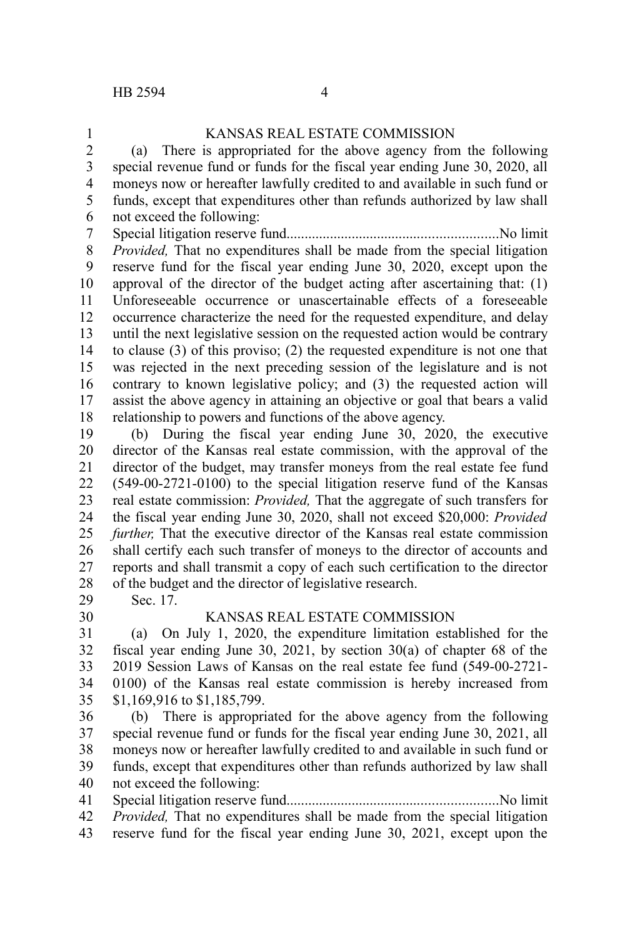#### KANSAS REAL ESTATE COMMISSION (a) There is appropriated for the above agency from the following special revenue fund or funds for the fiscal year ending June 30, 2020, all moneys now or hereafter lawfully credited to and available in such fund or funds, except that expenditures other than refunds authorized by law shall not exceed the following: Special litigation reserve fund..........................................................No limit *Provided,* That no expenditures shall be made from the special litigation reserve fund for the fiscal year ending June 30, 2020, except upon the approval of the director of the budget acting after ascertaining that: (1) Unforeseeable occurrence or unascertainable effects of a foreseeable occurrence characterize the need for the requested expenditure, and delay until the next legislative session on the requested action would be contrary to clause (3) of this proviso; (2) the requested expenditure is not one that was rejected in the next preceding session of the legislature and is not contrary to known legislative policy; and (3) the requested action will assist the above agency in attaining an objective or goal that bears a valid relationship to powers and functions of the above agency. (b) During the fiscal year ending June 30, 2020, the executive director of the Kansas real estate commission, with the approval of the director of the budget, may transfer moneys from the real estate fee fund (549-00-2721-0100) to the special litigation reserve fund of the Kansas real estate commission: *Provided,* That the aggregate of such transfers for the fiscal year ending June 30, 2020, shall not exceed \$20,000: *Provided further,* That the executive director of the Kansas real estate commission shall certify each such transfer of moneys to the director of accounts and reports and shall transmit a copy of each such certification to the director of the budget and the director of legislative research. Sec. 17. KANSAS REAL ESTATE COMMISSION (a) On July 1, 2020, the expenditure limitation established for the fiscal year ending June 30, 2021, by section 30(a) of chapter 68 of the 2019 Session Laws of Kansas on the real estate fee fund (549-00-2721- 1 2 3 4 5 6 7 8 9 10 11 12 13 14 15 16 17 18 19 20 21 22 23 24 25 26 27 28 29 30 31 32 33

0100) of the Kansas real estate commission is hereby increased from \$1,169,916 to \$1,185,799. (b) There is appropriated for the above agency from the following 34 35 36

special revenue fund or funds for the fiscal year ending June 30, 2021, all moneys now or hereafter lawfully credited to and available in such fund or funds, except that expenditures other than refunds authorized by law shall not exceed the following: 37 38 39 40

Special litigation reserve fund..........................................................No limit *Provided*, That no expenditures shall be made from the special litigation reserve fund for the fiscal year ending June 30, 2021, except upon the 41 42 43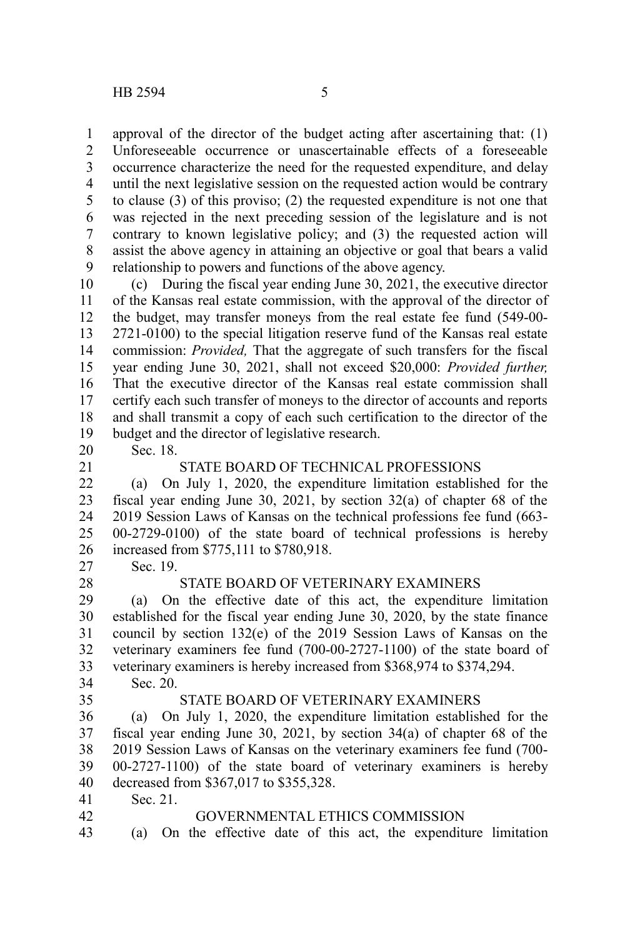approval of the director of the budget acting after ascertaining that: (1) Unforeseeable occurrence or unascertainable effects of a foreseeable occurrence characterize the need for the requested expenditure, and delay until the next legislative session on the requested action would be contrary to clause (3) of this proviso; (2) the requested expenditure is not one that was rejected in the next preceding session of the legislature and is not contrary to known legislative policy; and (3) the requested action will assist the above agency in attaining an objective or goal that bears a valid relationship to powers and functions of the above agency. 1 2 3 4 5 6 7 8 9

(c) During the fiscal year ending June 30, 2021, the executive director of the Kansas real estate commission, with the approval of the director of the budget, may transfer moneys from the real estate fee fund (549-00- 2721-0100) to the special litigation reserve fund of the Kansas real estate commission: *Provided,* That the aggregate of such transfers for the fiscal year ending June 30, 2021, shall not exceed \$20,000: *Provided further,* That the executive director of the Kansas real estate commission shall certify each such transfer of moneys to the director of accounts and reports and shall transmit a copy of each such certification to the director of the budget and the director of legislative research. 10 11 12 13 14 15 16 17 18 19

- 20
- 21

## STATE BOARD OF TECHNICAL PROFESSIONS

(a) On July 1, 2020, the expenditure limitation established for the fiscal year ending June 30, 2021, by section 32(a) of chapter 68 of the 2019 Session Laws of Kansas on the technical professions fee fund (663- 00-2729-0100) of the state board of technical professions is hereby increased from \$775,111 to \$780,918. 22 23 24 25 26

Sec. 19. 27

Sec. 18.

#### STATE BOARD OF VETERINARY EXAMINERS

(a) On the effective date of this act, the expenditure limitation established for the fiscal year ending June 30, 2020, by the state finance council by section 132(e) of the 2019 Session Laws of Kansas on the veterinary examiners fee fund (700-00-2727-1100) of the state board of veterinary examiners is hereby increased from \$368,974 to \$374,294. Sec. 20. 29 30 31 32 33 34

35

42

28

#### STATE BOARD OF VETERINARY EXAMINERS

(a) On July 1, 2020, the expenditure limitation established for the fiscal year ending June 30, 2021, by section 34(a) of chapter 68 of the 2019 Session Laws of Kansas on the veterinary examiners fee fund (700- 00-2727-1100) of the state board of veterinary examiners is hereby decreased from \$367,017 to \$355,328. 36 37 38 39 40

Sec. 21. 41

#### GOVERNMENTAL ETHICS COMMISSION

(a) On the effective date of this act, the expenditure limitation 43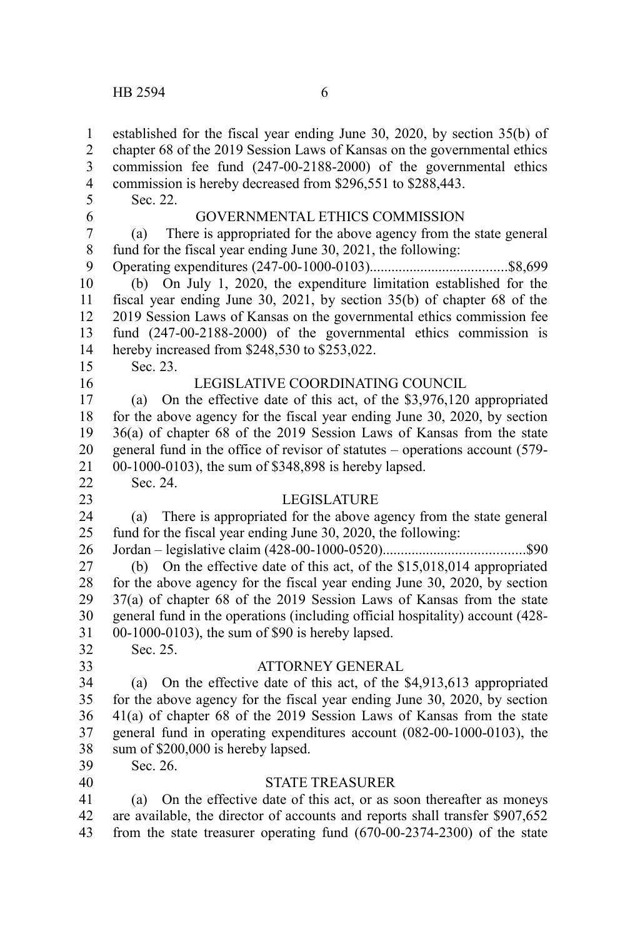established for the fiscal year ending June 30, 2020, by section 35(b) of chapter 68 of the 2019 Session Laws of Kansas on the governmental ethics commission fee fund (247-00-2188-2000) of the governmental ethics commission is hereby decreased from \$296,551 to \$288,443. Sec. 22. GOVERNMENTAL ETHICS COMMISSION (a) There is appropriated for the above agency from the state general fund for the fiscal year ending June 30, 2021, the following: Operating expenditures (247-00-1000-0103)......................................\$8,699 (b) On July 1, 2020, the expenditure limitation established for the fiscal year ending June 30, 2021, by section 35(b) of chapter 68 of the 2019 Session Laws of Kansas on the governmental ethics commission fee fund (247-00-2188-2000) of the governmental ethics commission is hereby increased from \$248,530 to \$253,022. Sec. 23. LEGISLATIVE COORDINATING COUNCIL (a) On the effective date of this act, of the \$3,976,120 appropriated for the above agency for the fiscal year ending June 30, 2020, by section 36(a) of chapter 68 of the 2019 Session Laws of Kansas from the state general fund in the office of revisor of statutes – operations account (579- 00-1000-0103), the sum of \$348,898 is hereby lapsed. Sec. 24. LEGISLATURE (a) There is appropriated for the above agency from the state general fund for the fiscal year ending June 30, 2020, the following: Jordan – legislative claim (428-00-1000-0520).......................................\$90 (b) On the effective date of this act, of the \$15,018,014 appropriated for the above agency for the fiscal year ending June 30, 2020, by section 37(a) of chapter 68 of the 2019 Session Laws of Kansas from the state general fund in the operations (including official hospitality) account (428- 00-1000-0103), the sum of \$90 is hereby lapsed. Sec. 25. ATTORNEY GENERAL (a) On the effective date of this act, of the \$4,913,613 appropriated for the above agency for the fiscal year ending June 30, 2020, by section 41(a) of chapter 68 of the 2019 Session Laws of Kansas from the state general fund in operating expenditures account (082-00-1000-0103), the sum of \$200,000 is hereby lapsed. Sec. 26. STATE TREASURER (a) On the effective date of this act, or as soon thereafter as moneys are available, the director of accounts and reports shall transfer \$907,652 from the state treasurer operating fund (670-00-2374-2300) of the state 1 2 3 4 5 6 7 8 9 10 11 12 13 14 15 16 17 18 19 20 21 22 23 24 25 26 27 28 29 30 31 32 33 34 35 36 37 38 39 40 41 42 43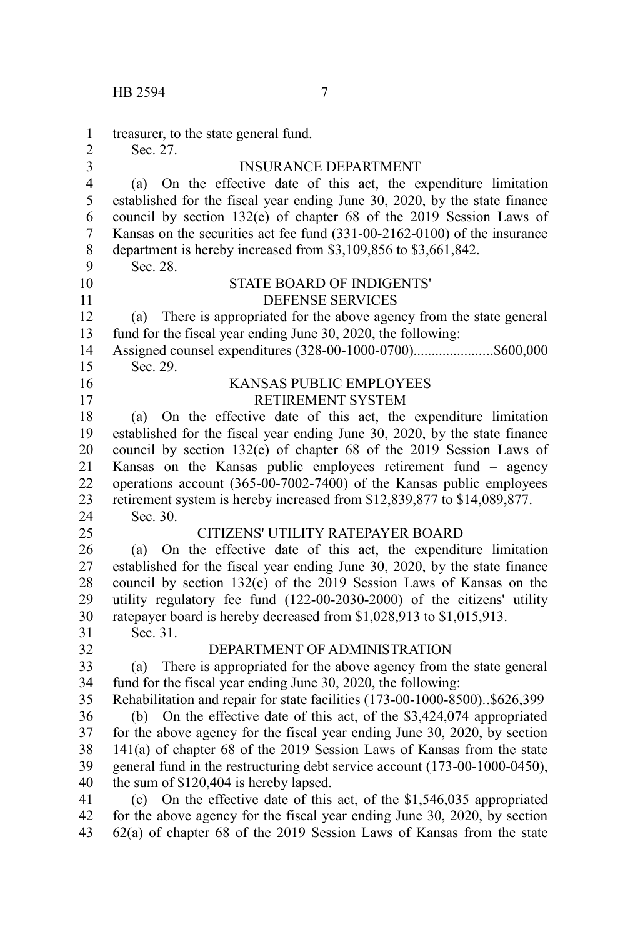| 1                                         | treasurer, to the state general fund.                                                                                                          |
|-------------------------------------------|------------------------------------------------------------------------------------------------------------------------------------------------|
| $\overline{2}$<br>$\overline{\mathbf{3}}$ | Sec. 27.<br><b>INSURANCE DEPARTMENT</b>                                                                                                        |
| $\overline{4}$                            | (a) On the effective date of this act, the expenditure limitation                                                                              |
| 5                                         | established for the fiscal year ending June 30, 2020, by the state finance                                                                     |
| 6                                         | council by section 132(e) of chapter 68 of the 2019 Session Laws of                                                                            |
| $\overline{7}$                            | Kansas on the securities act fee fund (331-00-2162-0100) of the insurance                                                                      |
| $\,8\,$                                   | department is hereby increased from \$3,109,856 to \$3,661,842.                                                                                |
| 9                                         | Sec. 28.                                                                                                                                       |
| 10                                        | <b>STATE BOARD OF INDIGENTS'</b>                                                                                                               |
| 11                                        | <b>DEFENSE SERVICES</b>                                                                                                                        |
| 12                                        | There is appropriated for the above agency from the state general<br>(a)                                                                       |
| 13                                        | fund for the fiscal year ending June 30, 2020, the following:                                                                                  |
| 14                                        | Assigned counsel expenditures (328-00-1000-0700)\$600,000                                                                                      |
| 15                                        | Sec. 29.                                                                                                                                       |
| 16                                        | KANSAS PUBLIC EMPLOYEES                                                                                                                        |
| 17                                        | RETIREMENT SYSTEM                                                                                                                              |
| 18                                        | (a) On the effective date of this act, the expenditure limitation                                                                              |
| 19                                        | established for the fiscal year ending June 30, 2020, by the state finance                                                                     |
| 20                                        | council by section 132(e) of chapter 68 of the 2019 Session Laws of                                                                            |
| 21                                        | Kansas on the Kansas public employees retirement fund – agency                                                                                 |
| 22                                        | operations account (365-00-7002-7400) of the Kansas public employees                                                                           |
| 23                                        | retirement system is hereby increased from \$12,839,877 to \$14,089,877.                                                                       |
| 24                                        | Sec. 30.                                                                                                                                       |
| 25                                        | CITIZENS' UTILITY RATEPAYER BOARD                                                                                                              |
| 26                                        | (a) On the effective date of this act, the expenditure limitation                                                                              |
| 27                                        | established for the fiscal year ending June 30, 2020, by the state finance                                                                     |
| 28<br>29                                  | council by section 132(e) of the 2019 Session Laws of Kansas on the<br>utility regulatory fee fund (122-00-2030-2000) of the citizens' utility |
| 30                                        | ratepayer board is hereby decreased from \$1,028,913 to \$1,015,913.                                                                           |
| 31                                        | Sec. 31.                                                                                                                                       |
| 32                                        | DEPARTMENT OF ADMINISTRATION                                                                                                                   |
| 33                                        | There is appropriated for the above agency from the state general<br>(a)                                                                       |
| 34                                        | fund for the fiscal year ending June 30, 2020, the following:                                                                                  |
| 35                                        | Rehabilitation and repair for state facilities (173-00-1000-8500)\$626,399                                                                     |
| 36                                        | On the effective date of this act, of the \$3,424,074 appropriated<br>(b)                                                                      |
| 37                                        | for the above agency for the fiscal year ending June 30, 2020, by section                                                                      |
| 38                                        | 141(a) of chapter 68 of the 2019 Session Laws of Kansas from the state                                                                         |
| 39                                        | general fund in the restructuring debt service account (173-00-1000-0450),                                                                     |
| 40                                        | the sum of \$120,404 is hereby lapsed.                                                                                                         |
| 41                                        | (c) On the effective date of this act, of the $$1,546,035$ appropriated                                                                        |
| 42                                        | for the above agency for the fiscal year ending June 30, 2020, by section                                                                      |
| 43                                        | 62(a) of chapter 68 of the 2019 Session Laws of Kansas from the state                                                                          |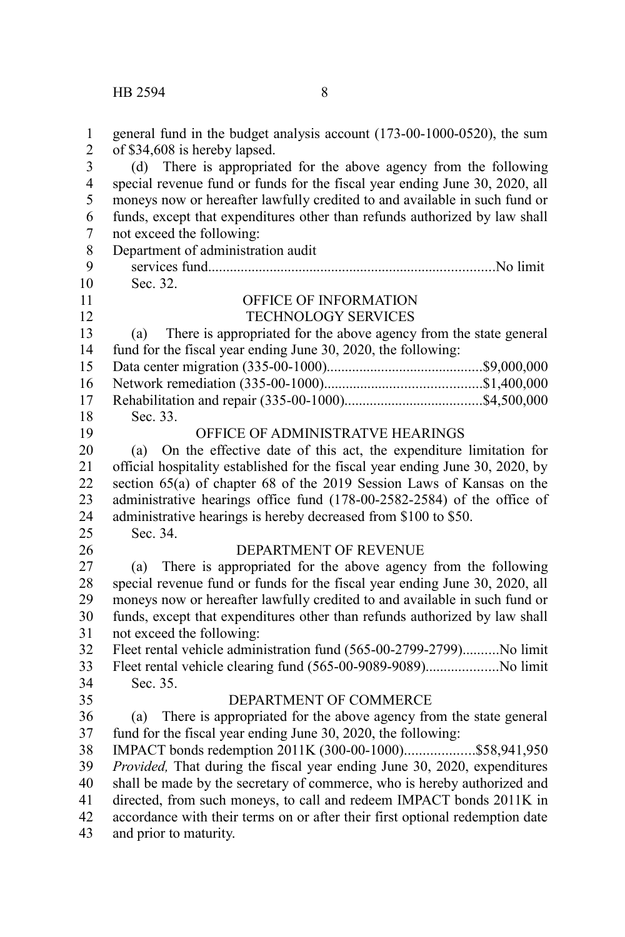| $\mathbf{1}$<br>$\overline{c}$ | general fund in the budget analysis account (173-00-1000-0520), the sum<br>of \$34,608 is hereby lapsed.                                             |
|--------------------------------|------------------------------------------------------------------------------------------------------------------------------------------------------|
| $\overline{\mathbf{3}}$        | (d) There is appropriated for the above agency from the following                                                                                    |
| $\overline{\mathbf{4}}$        | special revenue fund or funds for the fiscal year ending June 30, 2020, all                                                                          |
| 5                              | moneys now or hereafter lawfully credited to and available in such fund or                                                                           |
| 6                              | funds, except that expenditures other than refunds authorized by law shall                                                                           |
| $\overline{7}$                 | not exceed the following:                                                                                                                            |
| 8                              | Department of administration audit                                                                                                                   |
| 9                              |                                                                                                                                                      |
| 10                             | Sec. 32.                                                                                                                                             |
| 11                             | OFFICE OF INFORMATION                                                                                                                                |
| 12                             | TECHNOLOGY SERVICES                                                                                                                                  |
| 13                             | There is appropriated for the above agency from the state general<br>(a)                                                                             |
| 14                             | fund for the fiscal year ending June 30, 2020, the following:                                                                                        |
| 15                             |                                                                                                                                                      |
| 16                             |                                                                                                                                                      |
| 17                             |                                                                                                                                                      |
| 18                             | Sec. 33.                                                                                                                                             |
| 19                             | OFFICE OF ADMINISTRATVE HEARINGS                                                                                                                     |
| 20                             | On the effective date of this act, the expenditure limitation for<br>(a)                                                                             |
| 21                             | official hospitality established for the fiscal year ending June 30, 2020, by                                                                        |
| 22                             | section 65(a) of chapter 68 of the 2019 Session Laws of Kansas on the                                                                                |
| 23                             | administrative hearings office fund (178-00-2582-2584) of the office of                                                                              |
| 24                             | administrative hearings is hereby decreased from \$100 to \$50.                                                                                      |
| 25                             | Sec. 34.                                                                                                                                             |
| 26                             | DEPARTMENT OF REVENUE                                                                                                                                |
| 27                             | There is appropriated for the above agency from the following<br>(a)                                                                                 |
| 28                             | special revenue fund or funds for the fiscal year ending June 30, 2020, all                                                                          |
| 29                             | moneys now or hereafter lawfully credited to and available in such fund or                                                                           |
| 30                             | funds, except that expenditures other than refunds authorized by law shall                                                                           |
| 31                             | not exceed the following:                                                                                                                            |
| 32                             | Fleet rental vehicle administration fund (565-00-2799-2799)No limit                                                                                  |
| 33                             | Fleet rental vehicle clearing fund (565-00-9089-9089)No limit                                                                                        |
| 34                             | Sec. 35.                                                                                                                                             |
| 35                             | DEPARTMENT OF COMMERCE                                                                                                                               |
| 36                             | There is appropriated for the above agency from the state general                                                                                    |
|                                | (a)<br>fund for the fiscal year ending June 30, 2020, the following:                                                                                 |
| 37<br>38                       | IMPACT bonds redemption 2011K (300-00-1000)\$58,941,950                                                                                              |
|                                |                                                                                                                                                      |
| 39<br>40                       | Provided, That during the fiscal year ending June 30, 2020, expenditures<br>shall be made by the secretary of commerce, who is hereby authorized and |
|                                |                                                                                                                                                      |
| 41<br>42                       | directed, from such moneys, to call and redeem IMPACT bonds 2011K in                                                                                 |
|                                | accordance with their terms on or after their first optional redemption date                                                                         |
| 43                             | and prior to maturity.                                                                                                                               |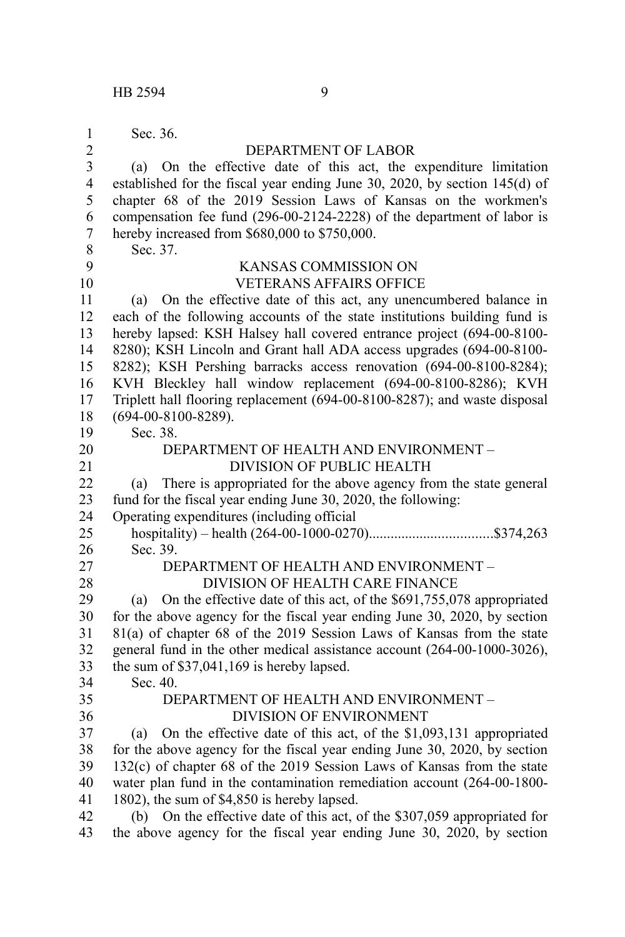| 1                       | Sec. 36.                                                                    |  |  |  |
|-------------------------|-----------------------------------------------------------------------------|--|--|--|
| $\overline{2}$          | DEPARTMENT OF LABOR                                                         |  |  |  |
| $\overline{\mathbf{3}}$ | (a) On the effective date of this act, the expenditure limitation           |  |  |  |
| $\overline{4}$          | established for the fiscal year ending June 30, 2020, by section 145(d) of  |  |  |  |
| 5                       | chapter 68 of the 2019 Session Laws of Kansas on the workmen's              |  |  |  |
| 6                       | compensation fee fund (296-00-2124-2228) of the department of labor is      |  |  |  |
| $\overline{7}$          | hereby increased from \$680,000 to \$750,000.                               |  |  |  |
| 8                       | Sec. 37.                                                                    |  |  |  |
| 9                       | KANSAS COMMISSION ON                                                        |  |  |  |
| 10                      | <b>VETERANS AFFAIRS OFFICE</b>                                              |  |  |  |
| 11                      | On the effective date of this act, any unencumbered balance in<br>(a)       |  |  |  |
| 12                      | each of the following accounts of the state institutions building fund is   |  |  |  |
| 13                      | hereby lapsed: KSH Halsey hall covered entrance project (694-00-8100-       |  |  |  |
| 14                      | 8280); KSH Lincoln and Grant hall ADA access upgrades (694-00-8100-         |  |  |  |
| 15                      | 8282); KSH Pershing barracks access renovation (694-00-8100-8284);          |  |  |  |
| 16                      | KVH Bleckley hall window replacement (694-00-8100-8286); KVH                |  |  |  |
| 17                      | Triplett hall flooring replacement (694-00-8100-8287); and waste disposal   |  |  |  |
| 18                      | $(694 - 00 - 8100 - 8289)$ .                                                |  |  |  |
| 19                      | Sec. 38.                                                                    |  |  |  |
| 20                      | DEPARTMENT OF HEALTH AND ENVIRONMENT -                                      |  |  |  |
| 21                      | <b>DIVISION OF PUBLIC HEALTH</b>                                            |  |  |  |
| 22                      | There is appropriated for the above agency from the state general<br>(a)    |  |  |  |
| 23                      | fund for the fiscal year ending June 30, 2020, the following:               |  |  |  |
| 24                      | Operating expenditures (including official                                  |  |  |  |
| 25                      |                                                                             |  |  |  |
| 26                      | Sec. 39.                                                                    |  |  |  |
| 27                      | DEPARTMENT OF HEALTH AND ENVIRONMENT -                                      |  |  |  |
| 28                      | DIVISION OF HEALTH CARE FINANCE                                             |  |  |  |
| 29                      | On the effective date of this act, of the \$691,755,078 appropriated<br>(a) |  |  |  |
| 30                      | for the above agency for the fiscal year ending June 30, 2020, by section   |  |  |  |
| 31                      | 81(a) of chapter 68 of the 2019 Session Laws of Kansas from the state       |  |  |  |
| 32                      | general fund in the other medical assistance account (264-00-1000-3026),    |  |  |  |
| 33                      | the sum of \$37,041,169 is hereby lapsed.                                   |  |  |  |
| 34                      | Sec. 40.                                                                    |  |  |  |
| 35                      | DEPARTMENT OF HEALTH AND ENVIRONMENT -                                      |  |  |  |
| 36                      | <b>DIVISION OF ENVIRONMENT</b>                                              |  |  |  |
| 37                      | On the effective date of this act, of the \$1,093,131 appropriated<br>(a)   |  |  |  |
| 38                      | for the above agency for the fiscal year ending June 30, 2020, by section   |  |  |  |
| 39                      | 132(c) of chapter 68 of the 2019 Session Laws of Kansas from the state      |  |  |  |
| 40                      | water plan fund in the contamination remediation account (264-00-1800-      |  |  |  |
| 41                      | 1802), the sum of \$4,850 is hereby lapsed.                                 |  |  |  |
| 42                      | (b) On the effective date of this act, of the \$307,059 appropriated for    |  |  |  |
| 43                      | the above agency for the fiscal year ending June 30, 2020, by section       |  |  |  |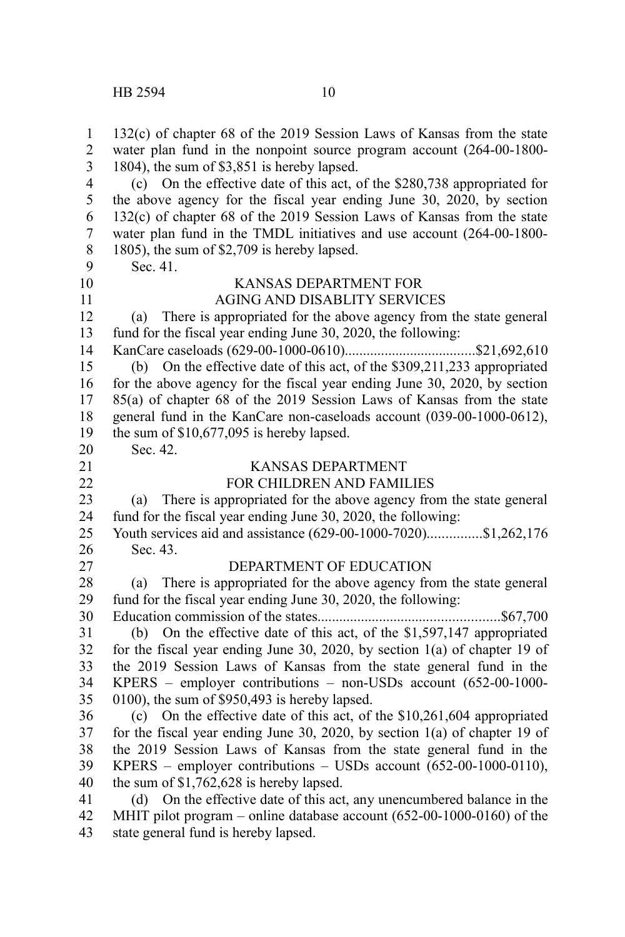132(c) of chapter 68 of the 2019 Session Laws of Kansas from the state water plan fund in the nonpoint source program account (264-00-1800- 1804), the sum of \$3,851 is hereby lapsed. (c) On the effective date of this act, of the \$280,738 appropriated for the above agency for the fiscal year ending June 30, 2020, by section 132(c) of chapter 68 of the 2019 Session Laws of Kansas from the state water plan fund in the TMDL initiatives and use account (264-00-1800- 1805), the sum of \$2,709 is hereby lapsed. Sec. 41. KANSAS DEPARTMENT FOR AGING AND DISABLITY SERVICES (a) There is appropriated for the above agency from the state general fund for the fiscal year ending June 30, 2020, the following: KanCare caseloads (629-00-1000-0610)....................................\$21,692,610 (b) On the effective date of this act, of the \$309,211,233 appropriated for the above agency for the fiscal year ending June 30, 2020, by section 85(a) of chapter 68 of the 2019 Session Laws of Kansas from the state general fund in the KanCare non-caseloads account (039-00-1000-0612), the sum of \$10,677,095 is hereby lapsed. Sec. 42. KANSAS DEPARTMENT FOR CHILDREN AND FAMILIES (a) There is appropriated for the above agency from the state general fund for the fiscal year ending June 30, 2020, the following: Youth services aid and assistance (629-00-1000-7020)...............\$1,262,176 Sec. 43. DEPARTMENT OF EDUCATION (a) There is appropriated for the above agency from the state general fund for the fiscal year ending June 30, 2020, the following: Education commission of the states..................................................\$67,700 (b) On the effective date of this act, of the \$1,597,147 appropriated for the fiscal year ending June 30, 2020, by section 1(a) of chapter 19 of the 2019 Session Laws of Kansas from the state general fund in the KPERS – employer contributions – non-USDs account (652-00-1000- 0100), the sum of \$950,493 is hereby lapsed. (c) On the effective date of this act, of the \$10,261,604 appropriated for the fiscal year ending June 30, 2020, by section 1(a) of chapter 19 of the 2019 Session Laws of Kansas from the state general fund in the KPERS – employer contributions – USDs account  $(652-00-1000-0110)$ , the sum of \$1,762,628 is hereby lapsed. (d) On the effective date of this act, any unencumbered balance in the MHIT pilot program – online database account (652-00-1000-0160) of the state general fund is hereby lapsed. 1 2 3 4 5 6 7 8 9 10 11 12 13 14 15 16 17 18 19 20 21 22 23 24 25 26 27 28 29 30 31 32 33 34 35 36 37 38 39 40 41 42 43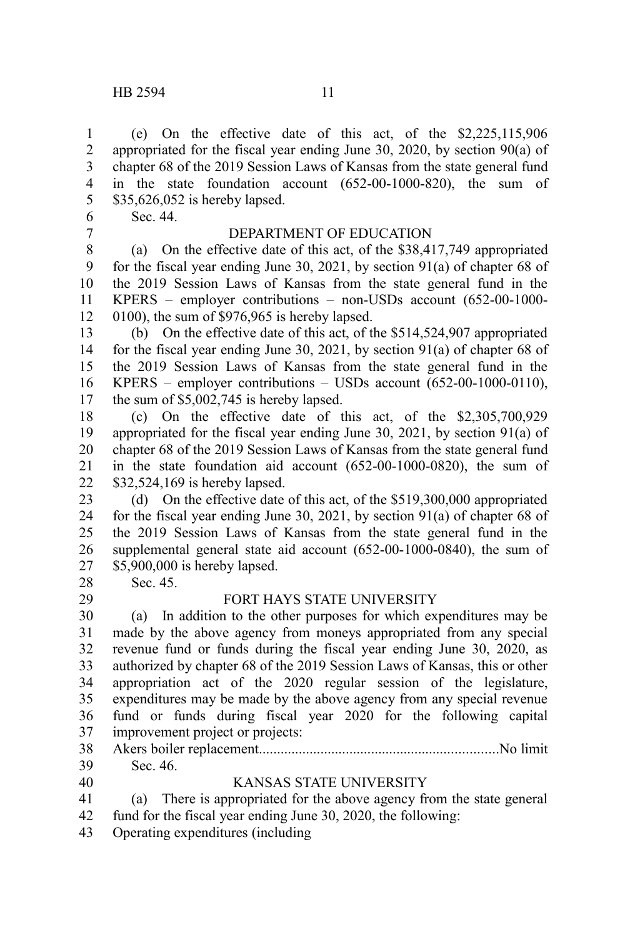(e) On the effective date of this act, of the \$2,225,115,906 appropriated for the fiscal year ending June 30, 2020, by section 90(a) of chapter 68 of the 2019 Session Laws of Kansas from the state general fund in the state foundation account (652-00-1000-820), the sum of \$35,626,052 is hereby lapsed. 1 2 3 4 5

Sec. 44. 6

7

### DEPARTMENT OF EDUCATION

(a) On the effective date of this act, of the \$38,417,749 appropriated for the fiscal year ending June 30, 2021, by section 91(a) of chapter 68 of the 2019 Session Laws of Kansas from the state general fund in the KPERS – employer contributions – non-USDs account (652-00-1000- 0100), the sum of \$976,965 is hereby lapsed. 8 9 10 11 12

(b) On the effective date of this act, of the \$514,524,907 appropriated for the fiscal year ending June 30, 2021, by section 91(a) of chapter 68 of the 2019 Session Laws of Kansas from the state general fund in the KPERS – employer contributions – USDs account (652-00-1000-0110), the sum of \$5,002,745 is hereby lapsed. 13 14 15 16 17

(c) On the effective date of this act, of the \$2,305,700,929 appropriated for the fiscal year ending June 30, 2021, by section 91(a) of chapter 68 of the 2019 Session Laws of Kansas from the state general fund in the state foundation aid account (652-00-1000-0820), the sum of \$32,524,169 is hereby lapsed. 18 19 20 21 22

(d) On the effective date of this act, of the \$519,300,000 appropriated for the fiscal year ending June 30, 2021, by section 91(a) of chapter 68 of the 2019 Session Laws of Kansas from the state general fund in the supplemental general state aid account (652-00-1000-0840), the sum of \$5,900,000 is hereby lapsed. 23 24 25 26 27

28

29

Sec. 45.

#### FORT HAYS STATE UNIVERSITY

(a) In addition to the other purposes for which expenditures may be made by the above agency from moneys appropriated from any special revenue fund or funds during the fiscal year ending June 30, 2020, as authorized by chapter 68 of the 2019 Session Laws of Kansas, this or other appropriation act of the 2020 regular session of the legislature, expenditures may be made by the above agency from any special revenue fund or funds during fiscal year 2020 for the following capital improvement project or projects: 30 31 32 33 34 35 36 37

Akers boiler replacement..................................................................No limit Sec. 46. 38 39

40

#### KANSAS STATE UNIVERSITY

(a) There is appropriated for the above agency from the state general fund for the fiscal year ending June 30, 2020, the following: 41 42

Operating expenditures (including 43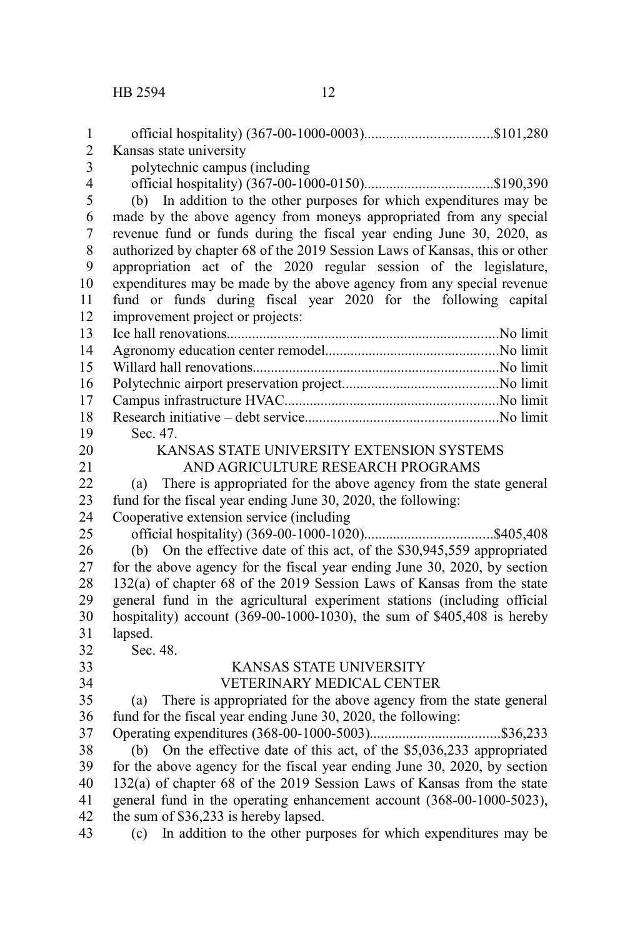| 1                       |                                                                            |
|-------------------------|----------------------------------------------------------------------------|
| $\overline{c}$          | Kansas state university                                                    |
| $\overline{\mathbf{3}}$ | polytechnic campus (including                                              |
| $\overline{4}$          |                                                                            |
| 5                       | (b) In addition to the other purposes for which expenditures may be        |
| 6                       | made by the above agency from moneys appropriated from any special         |
| $\overline{7}$          | revenue fund or funds during the fiscal year ending June 30, 2020, as      |
| 8                       | authorized by chapter 68 of the 2019 Session Laws of Kansas, this or other |
| 9                       | appropriation act of the 2020 regular session of the legislature,          |
| 10                      | expenditures may be made by the above agency from any special revenue      |
| 11                      | fund or funds during fiscal year 2020 for the following capital            |
| 12                      | improvement project or projects:                                           |
| 13                      |                                                                            |
| 14                      |                                                                            |
| 15                      |                                                                            |
| 16                      |                                                                            |
| 17                      |                                                                            |
| 18                      |                                                                            |
| 19                      | Sec. 47.                                                                   |
| 20                      | KANSAS STATE UNIVERSITY EXTENSION SYSTEMS                                  |
| 21                      | AND AGRICULTURE RESEARCH PROGRAMS                                          |
| 22                      | There is appropriated for the above agency from the state general<br>(a)   |
| 23                      | fund for the fiscal year ending June 30, 2020, the following:              |
| 24                      | Cooperative extension service (including                                   |
| 25                      |                                                                            |
| 26                      | On the effective date of this act, of the \$30,945,559 appropriated<br>(b) |
| 27                      | for the above agency for the fiscal year ending June 30, 2020, by section  |
| 28                      | 132(a) of chapter 68 of the 2019 Session Laws of Kansas from the state     |
| 29                      | general fund in the agricultural experiment stations (including official   |
| 30                      | hospitality) account $(369-00-1000-1030)$ , the sum of \$405,408 is hereby |
| 31                      | lapsed.                                                                    |
| 32                      | Sec. 48.                                                                   |
| 33                      | KANSAS STATE UNIVERSITY                                                    |
| 34                      | VETERINARY MEDICAL CENTER                                                  |
| 35                      | There is appropriated for the above agency from the state general<br>(a)   |
| 36                      | fund for the fiscal year ending June 30, 2020, the following:              |
| 37                      |                                                                            |
| 38                      | (b) On the effective date of this act, of the \$5,036,233 appropriated     |
| 39                      | for the above agency for the fiscal year ending June 30, 2020, by section  |
| 40                      | 132(a) of chapter 68 of the 2019 Session Laws of Kansas from the state     |
| 41                      | general fund in the operating enhancement account (368-00-1000-5023),      |
| 42                      | the sum of \$36,233 is hereby lapsed.                                      |
| 43                      | (c) In addition to the other purposes for which expenditures may be        |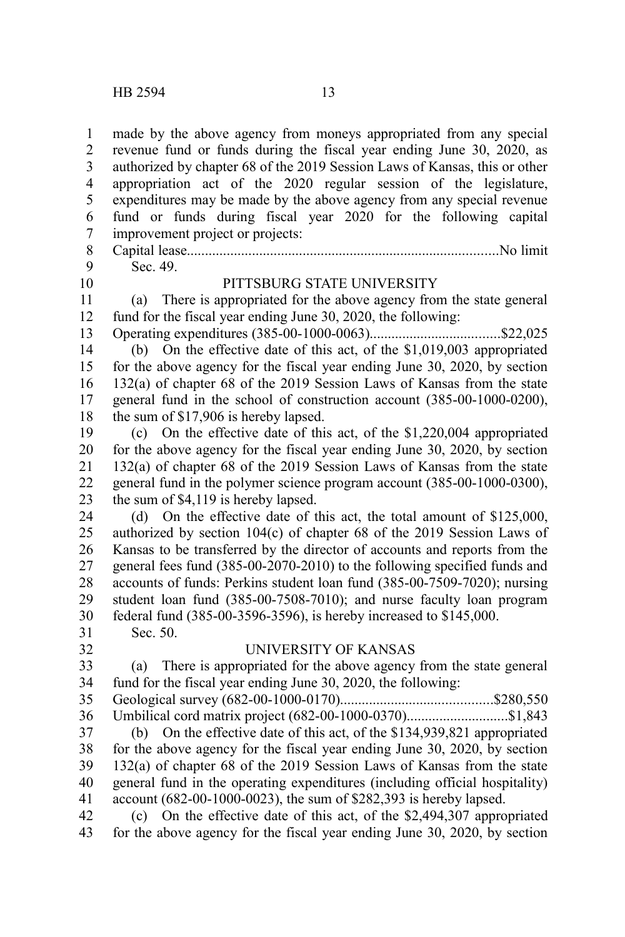made by the above agency from moneys appropriated from any special revenue fund or funds during the fiscal year ending June 30, 2020, as authorized by chapter 68 of the 2019 Session Laws of Kansas, this or other appropriation act of the 2020 regular session of the legislature, expenditures may be made by the above agency from any special revenue fund or funds during fiscal year 2020 for the following capital improvement project or projects: Capital lease......................................................................................No limit Sec. 49. PITTSBURG STATE UNIVERSITY (a) There is appropriated for the above agency from the state general fund for the fiscal year ending June 30, 2020, the following: Operating expenditures (385-00-1000-0063)....................................\$22,025 (b) On the effective date of this act, of the \$1,019,003 appropriated for the above agency for the fiscal year ending June 30, 2020, by section 132(a) of chapter 68 of the 2019 Session Laws of Kansas from the state general fund in the school of construction account (385-00-1000-0200), the sum of \$17,906 is hereby lapsed. (c) On the effective date of this act, of the \$1,220,004 appropriated for the above agency for the fiscal year ending June 30, 2020, by section 132(a) of chapter 68 of the 2019 Session Laws of Kansas from the state general fund in the polymer science program account (385-00-1000-0300), the sum of \$4,119 is hereby lapsed. (d) On the effective date of this act, the total amount of \$125,000, authorized by section 104(c) of chapter 68 of the 2019 Session Laws of Kansas to be transferred by the director of accounts and reports from the general fees fund (385-00-2070-2010) to the following specified funds and accounts of funds: Perkins student loan fund (385-00-7509-7020); nursing student loan fund (385-00-7508-7010); and nurse faculty loan program federal fund (385-00-3596-3596), is hereby increased to \$145,000. Sec. 50. UNIVERSITY OF KANSAS (a) There is appropriated for the above agency from the state general fund for the fiscal year ending June 30, 2020, the following: Geological survey (682-00-1000-0170)..........................................\$280,550 Umbilical cord matrix project (682-00-1000-0370)............................\$1,843 (b) On the effective date of this act, of the \$134,939,821 appropriated for the above agency for the fiscal year ending June 30, 2020, by section 132(a) of chapter 68 of the 2019 Session Laws of Kansas from the state general fund in the operating expenditures (including official hospitality) account (682-00-1000-0023), the sum of \$282,393 is hereby lapsed. (c) On the effective date of this act, of the \$2,494,307 appropriated for the above agency for the fiscal year ending June 30, 2020, by section 1 2 3 4 5 6 7 8 9 10 11 12 13 14 15 16 17 18 19 20 21 22 23 24 25 26 27 28 29 30 31 32 33 34 35 36 37 38 39 40 41 42 43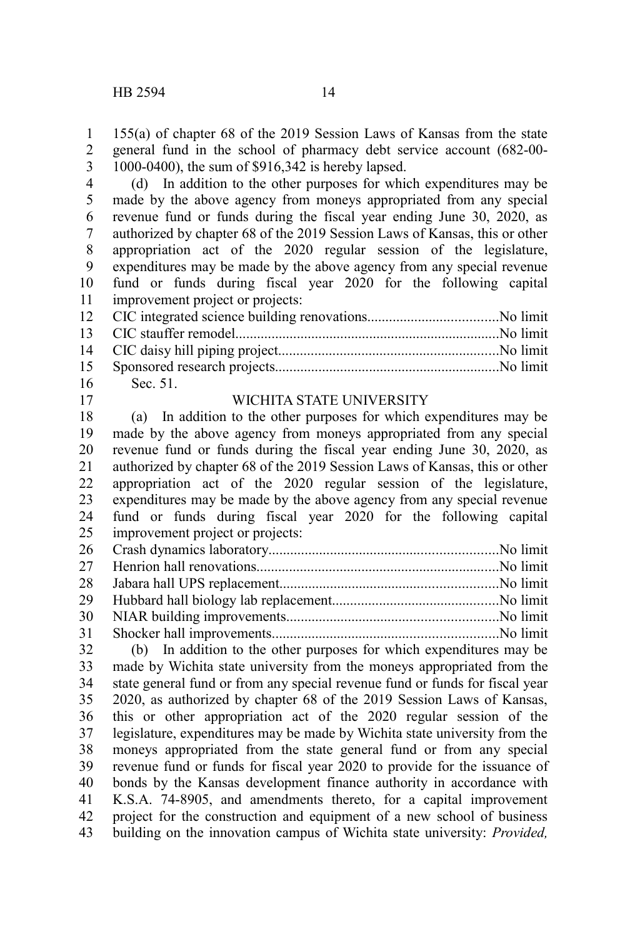155(a) of chapter 68 of the 2019 Session Laws of Kansas from the state general fund in the school of pharmacy debt service account (682-00- 1000-0400), the sum of \$916,342 is hereby lapsed. 1 2 3

(d) In addition to the other purposes for which expenditures may be made by the above agency from moneys appropriated from any special revenue fund or funds during the fiscal year ending June 30, 2020, as authorized by chapter 68 of the 2019 Session Laws of Kansas, this or other appropriation act of the 2020 regular session of the legislature, expenditures may be made by the above agency from any special revenue fund or funds during fiscal year 2020 for the following capital improvement project or projects: 4 5 6 7 8 9 10 11

| 16 Sec. 51. |  |
|-------------|--|

17

#### WICHITA STATE UNIVERSITY

(a) In addition to the other purposes for which expenditures may be made by the above agency from moneys appropriated from any special revenue fund or funds during the fiscal year ending June 30, 2020, as authorized by chapter 68 of the 2019 Session Laws of Kansas, this or other appropriation act of the 2020 regular session of the legislature, expenditures may be made by the above agency from any special revenue fund or funds during fiscal year 2020 for the following capital improvement project or projects: 18 19 20 21 22 23 24 25

(b) In addition to the other purposes for which expenditures may be made by Wichita state university from the moneys appropriated from the state general fund or from any special revenue fund or funds for fiscal year 2020, as authorized by chapter 68 of the 2019 Session Laws of Kansas, this or other appropriation act of the 2020 regular session of the legislature, expenditures may be made by Wichita state university from the moneys appropriated from the state general fund or from any special revenue fund or funds for fiscal year 2020 to provide for the issuance of bonds by the Kansas development finance authority in accordance with K.S.A. 74-8905, and amendments thereto, for a capital improvement project for the construction and equipment of a new school of business building on the innovation campus of Wichita state university: *Provided,* 32 33 34 35 36 37 38 39 40 41 42 43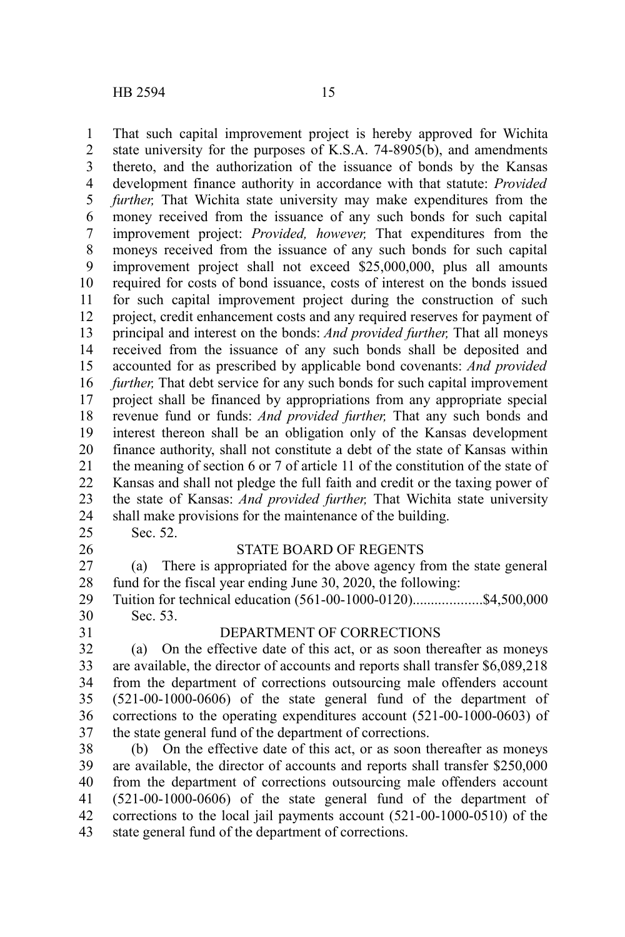That such capital improvement project is hereby approved for Wichita state university for the purposes of K.S.A. 74-8905(b), and amendments thereto, and the authorization of the issuance of bonds by the Kansas development finance authority in accordance with that statute: *Provided further,* That Wichita state university may make expenditures from the money received from the issuance of any such bonds for such capital improvement project: *Provided, however,* That expenditures from the moneys received from the issuance of any such bonds for such capital improvement project shall not exceed \$25,000,000, plus all amounts required for costs of bond issuance, costs of interest on the bonds issued for such capital improvement project during the construction of such project, credit enhancement costs and any required reserves for payment of principal and interest on the bonds: *And provided further,* That all moneys received from the issuance of any such bonds shall be deposited and accounted for as prescribed by applicable bond covenants: *And provided further,* That debt service for any such bonds for such capital improvement project shall be financed by appropriations from any appropriate special revenue fund or funds: *And provided further,* That any such bonds and interest thereon shall be an obligation only of the Kansas development finance authority, shall not constitute a debt of the state of Kansas within the meaning of section 6 or 7 of article 11 of the constitution of the state of Kansas and shall not pledge the full faith and credit or the taxing power of the state of Kansas: *And provided further,* That Wichita state university shall make provisions for the maintenance of the building. Sec. 52. 1 2 3 4 5 6 7 8 9 10 11 12 13 14 15 16 17 18 19 20 21 22 23 24 25 26

#### STATE BOARD OF REGENTS

(a) There is appropriated for the above agency from the state general fund for the fiscal year ending June 30, 2020, the following: 27 28

Tuition for technical education (561-00-1000-0120)...................\$4,500,000 Sec. 53. 29 30

31

#### DEPARTMENT OF CORRECTIONS

(a) On the effective date of this act, or as soon thereafter as moneys are available, the director of accounts and reports shall transfer \$6,089,218 from the department of corrections outsourcing male offenders account (521-00-1000-0606) of the state general fund of the department of corrections to the operating expenditures account (521-00-1000-0603) of the state general fund of the department of corrections. 32 33 34 35 36 37

(b) On the effective date of this act, or as soon thereafter as moneys are available, the director of accounts and reports shall transfer \$250,000 from the department of corrections outsourcing male offenders account (521-00-1000-0606) of the state general fund of the department of corrections to the local jail payments account (521-00-1000-0510) of the state general fund of the department of corrections. 38 39 40 41 42 43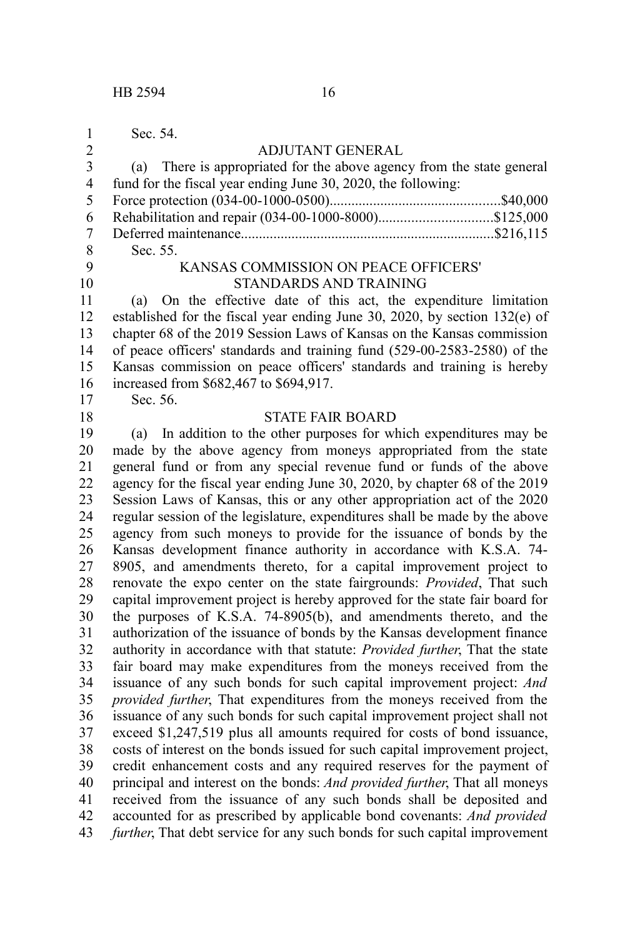Sec. 54.

1  $\mathfrak{D}$ 

10

18

#### ADJUTANT GENERAL

|                | (a) There is appropriated for the above agency from the state general |
|----------------|-----------------------------------------------------------------------|
| $\overline{4}$ | fund for the fiscal year ending June 30, 2020, the following:         |
| 5              |                                                                       |
| 6              |                                                                       |
|                |                                                                       |
| -8             | Sec. 55.                                                              |
| q              | KANSAS COMMISSION ON PEACE OFFICERS'                                  |

#### AISSION ON PEACE ( STANDARDS AND TRAINING

(a) On the effective date of this act, the expenditure limitation established for the fiscal year ending June 30, 2020, by section 132(e) of chapter 68 of the 2019 Session Laws of Kansas on the Kansas commission of peace officers' standards and training fund (529-00-2583-2580) of the Kansas commission on peace officers' standards and training is hereby increased from \$682,467 to \$694,917. 11 12 13 14 15 16 17

Sec. 56.

#### STATE FAIR BOARD

(a) In addition to the other purposes for which expenditures may be made by the above agency from moneys appropriated from the state general fund or from any special revenue fund or funds of the above agency for the fiscal year ending June 30, 2020, by chapter 68 of the 2019 Session Laws of Kansas, this or any other appropriation act of the 2020 regular session of the legislature, expenditures shall be made by the above agency from such moneys to provide for the issuance of bonds by the Kansas development finance authority in accordance with K.S.A. 74- 8905, and amendments thereto, for a capital improvement project to renovate the expo center on the state fairgrounds: *Provided*, That such capital improvement project is hereby approved for the state fair board for the purposes of K.S.A. 74-8905(b), and amendments thereto, and the authorization of the issuance of bonds by the Kansas development finance authority in accordance with that statute: *Provided further*, That the state fair board may make expenditures from the moneys received from the issuance of any such bonds for such capital improvement project: *And provided further*, That expenditures from the moneys received from the issuance of any such bonds for such capital improvement project shall not exceed \$1,247,519 plus all amounts required for costs of bond issuance, costs of interest on the bonds issued for such capital improvement project, credit enhancement costs and any required reserves for the payment of principal and interest on the bonds: *And provided further*, That all moneys received from the issuance of any such bonds shall be deposited and accounted for as prescribed by applicable bond covenants: *And provided further*, That debt service for any such bonds for such capital improvement 19 20 21 22 23 24 25 26 27 28 29 30 31 32 33 34 35 36 37 38 39 40 41 42 43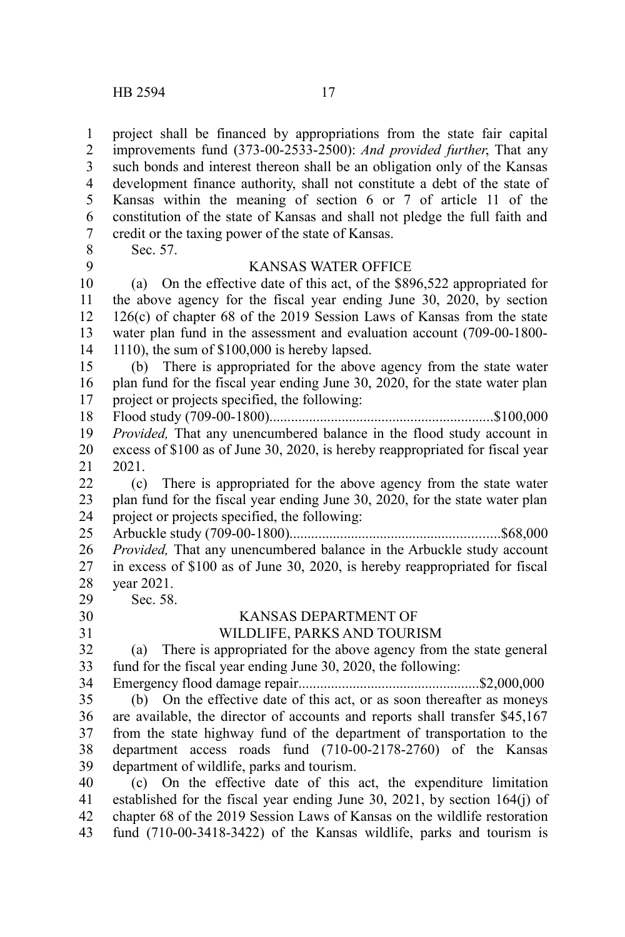project shall be financed by appropriations from the state fair capital improvements fund (373-00-2533-2500): *And provided further*, That any such bonds and interest thereon shall be an obligation only of the Kansas development finance authority, shall not constitute a debt of the state of Kansas within the meaning of section 6 or 7 of article 11 of the constitution of the state of Kansas and shall not pledge the full faith and credit or the taxing power of the state of Kansas. Sec. 57. KANSAS WATER OFFICE (a) On the effective date of this act, of the \$896,522 appropriated for the above agency for the fiscal year ending June 30, 2020, by section 126(c) of chapter 68 of the 2019 Session Laws of Kansas from the state water plan fund in the assessment and evaluation account (709-00-1800- 1110), the sum of \$100,000 is hereby lapsed. (b) There is appropriated for the above agency from the state water plan fund for the fiscal year ending June 30, 2020, for the state water plan project or projects specified, the following: Flood study (709-00-1800)..............................................................\$100,000 *Provided,* That any unencumbered balance in the flood study account in excess of \$100 as of June 30, 2020, is hereby reappropriated for fiscal year 2021. (c) There is appropriated for the above agency from the state water plan fund for the fiscal year ending June 30, 2020, for the state water plan project or projects specified, the following: Arbuckle study (709-00-1800)..........................................................\$68,000 *Provided,* That any unencumbered balance in the Arbuckle study account in excess of \$100 as of June 30, 2020, is hereby reappropriated for fiscal year 2021. Sec. 58. KANSAS DEPARTMENT OF WILDLIFE, PARKS AND TOURISM (a) There is appropriated for the above agency from the state general fund for the fiscal year ending June 30, 2020, the following: Emergency flood damage repair..................................................\$2,000,000 (b) On the effective date of this act, or as soon thereafter as moneys are available, the director of accounts and reports shall transfer \$45,167 from the state highway fund of the department of transportation to the department access roads fund (710-00-2178-2760) of the Kansas department of wildlife, parks and tourism. (c) On the effective date of this act, the expenditure limitation established for the fiscal year ending June 30, 2021, by section 164(j) of chapter 68 of the 2019 Session Laws of Kansas on the wildlife restoration 1 2 3 4 5 6 7 8 9 10 11 12 13 14 15 16 17 18 19 20 21 22 23 24 25 26 27 28 29 30 31 32 33 34 35 36 37 38 39 40 41 42

fund (710-00-3418-3422) of the Kansas wildlife, parks and tourism is 43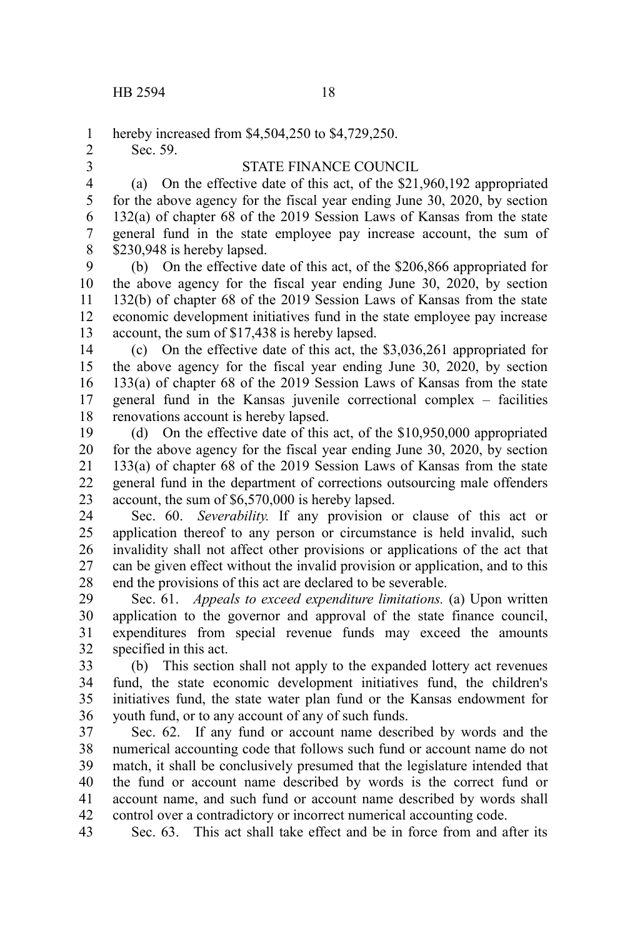hereby increased from \$4,504,250 to \$4,729,250. 1

Sec. 59.

2 3

#### STATE FINANCE COUNCIL

(a) On the effective date of this act, of the \$21,960,192 appropriated for the above agency for the fiscal year ending June 30, 2020, by section 132(a) of chapter 68 of the 2019 Session Laws of Kansas from the state general fund in the state employee pay increase account, the sum of \$230,948 is hereby lapsed. 4 5 6 7 8

(b) On the effective date of this act, of the \$206,866 appropriated for the above agency for the fiscal year ending June 30, 2020, by section 132(b) of chapter 68 of the 2019 Session Laws of Kansas from the state economic development initiatives fund in the state employee pay increase account, the sum of \$17,438 is hereby lapsed. 9 10 11 12 13

(c) On the effective date of this act, the \$3,036,261 appropriated for the above agency for the fiscal year ending June 30, 2020, by section 133(a) of chapter 68 of the 2019 Session Laws of Kansas from the state general fund in the Kansas juvenile correctional complex – facilities renovations account is hereby lapsed. 14 15 16 17 18

(d) On the effective date of this act, of the \$10,950,000 appropriated for the above agency for the fiscal year ending June 30, 2020, by section 133(a) of chapter 68 of the 2019 Session Laws of Kansas from the state general fund in the department of corrections outsourcing male offenders account, the sum of \$6,570,000 is hereby lapsed. 19 20 21 22 23

Sec. 60. *Severability.* If any provision or clause of this act or application thereof to any person or circumstance is held invalid, such invalidity shall not affect other provisions or applications of the act that can be given effect without the invalid provision or application, and to this end the provisions of this act are declared to be severable. 24 25 26 27 28

Sec. 61. *Appeals to exceed expenditure limitations.* (a) Upon written application to the governor and approval of the state finance council, expenditures from special revenue funds may exceed the amounts specified in this act. 29 30 31 32

(b) This section shall not apply to the expanded lottery act revenues fund, the state economic development initiatives fund, the children's initiatives fund, the state water plan fund or the Kansas endowment for youth fund, or to any account of any of such funds. 33 34 35 36

Sec. 62. If any fund or account name described by words and the numerical accounting code that follows such fund or account name do not match, it shall be conclusively presumed that the legislature intended that the fund or account name described by words is the correct fund or account name, and such fund or account name described by words shall control over a contradictory or incorrect numerical accounting code. 37 38 39 40 41 42

Sec. 63. This act shall take effect and be in force from and after its 43